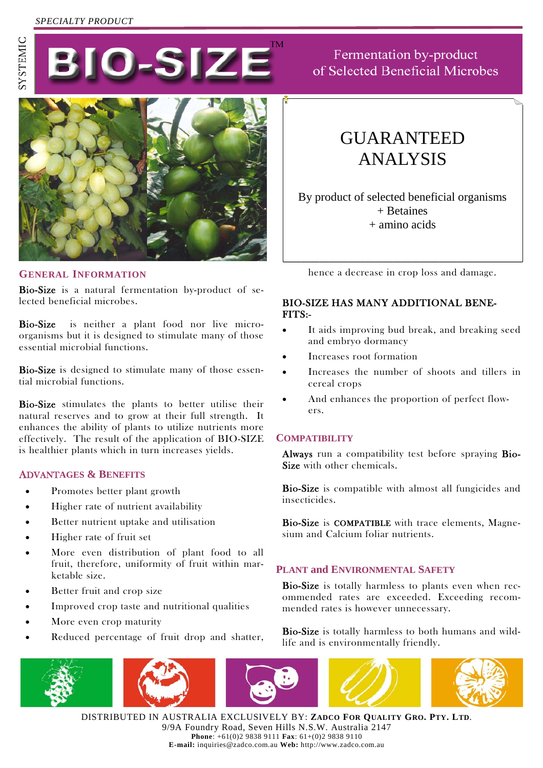# *SPECIALTY PRODUCT*





## **GENERAL INFORMATION**

Bio-Size is a natural fermentation by-product of selected beneficial microbes.

Bio-Size is neither a plant food nor live microorganisms but it is designed to stimulate many of those essential microbial functions.

Bio-Size is designed to stimulate many of those essential microbial functions.

Bio-Size stimulates the plants to better utilise their natural reserves and to grow at their full strength. It enhances the ability of plants to utilize nutrients more effectively. The result of the application of BIO-SIZE is healthier plants which in turn increases yields.

#### ADVANT**AGES & BENEFITS**

- Promotes better plant growth
- Higher rate of nutrient availability
- Better nutrient uptake and utilisation
- Higher rate of fruit set
- More even distribution of plant food to all fruit, therefore, uniformity of fruit within marketable size.
- Better fruit and crop size
- Improved crop taste and nutritional qualities
- More even crop maturity
- Reduced percentage of fruit drop and shatter,





Fermentation by-product of Selected Beneficial Microbes

# GUARANTEED ANALYSIS

By product of selected beneficial organisms + Betaines + amino acids

hence a decrease in crop loss and damage.

## BIO-SIZE HAS MANY ADDITIONAL BENE-FITS:-

- It aids improving bud break, and breaking seed and embryo dormancy
- Increases root formation
- Increases the number of shoots and tillers in cereal crops
- And enhances the proportion of perfect flowers.

#### **COMPATIBILITY**

Always run a compatibility test before spraying Bio-Size with other chemicals.

Bio-Size is compatible with almost all fungicides and insecticides.

Bio-Size is COMPATIBLE with trace elements, Magnesium and Calcium foliar nutrients.

#### **PLANT and ENVIRONMENTAL SAFETY**

Bio-Size is totally harmless to plants even when recommended rates are exceeded. Exceeding recommended rates is however unnecessary.

Bio-Size is totally harmless to both humans and wildlife and is environmentally friendly.



DISTRIBUTED IN AUSTRALIA EXCLUSIVELY BY: **ZADCO FOR QUALITY GRO. PTY. LTD**. 9/9A Foundry Road, Seven Hills N.S.W. Australia 2147 **Phone**: +61(0)2 9838 9111 **Fax**: 61+(0)2 9838 9110 **E-mail:** inquiries@zadco.com.au **Web:** http://www.zadco.com.au